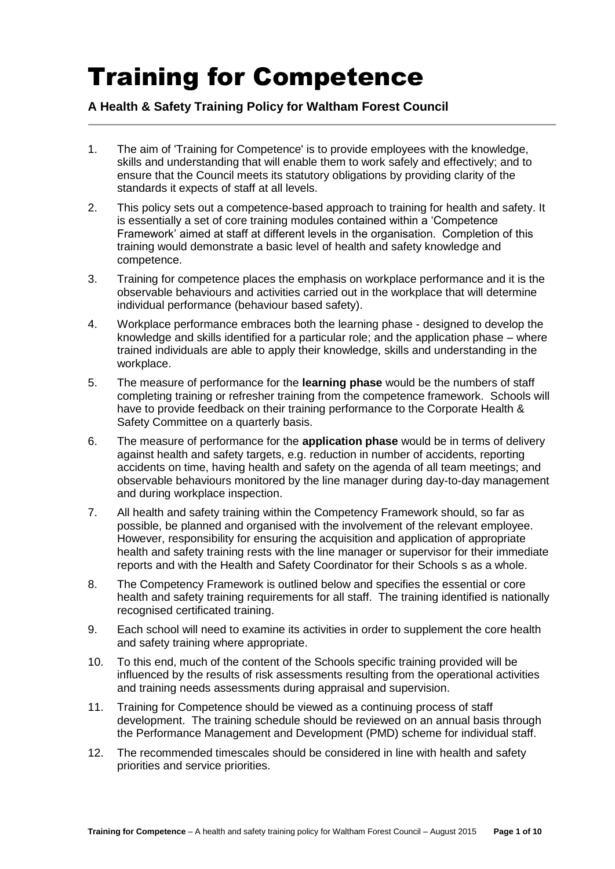## Training for Competence

## **A Health & Safety Training Policy for Waltham Forest Council**

- 1. The aim of 'Training for Competence' is to provide employees with the knowledge, skills and understanding that will enable them to work safely and effectively; and to ensure that the Council meets its statutory obligations by providing clarity of the standards it expects of staff at all levels.
- 2. This policy sets out a competence-based approach to training for health and safety. It is essentially a set of core training modules contained within a 'Competence Framework' aimed at staff at different levels in the organisation. Completion of this training would demonstrate a basic level of health and safety knowledge and competence.
- 3. Training for competence places the emphasis on workplace performance and it is the observable behaviours and activities carried out in the workplace that will determine individual performance (behaviour based safety).
- 4. Workplace performance embraces both the learning phase designed to develop the knowledge and skills identified for a particular role; and the application phase – where trained individuals are able to apply their knowledge, skills and understanding in the workplace.
- 5. The measure of performance for the **learning phase** would be the numbers of staff completing training or refresher training from the competence framework. Schools will have to provide feedback on their training performance to the Corporate Health & Safety Committee on a quarterly basis.
- 6. The measure of performance for the **application phase** would be in terms of delivery against health and safety targets, e.g. reduction in number of accidents, reporting accidents on time, having health and safety on the agenda of all team meetings; and observable behaviours monitored by the line manager during day-to-day management and during workplace inspection.
- 7. All health and safety training within the Competency Framework should, so far as possible, be planned and organised with the involvement of the relevant employee. However, responsibility for ensuring the acquisition and application of appropriate health and safety training rests with the line manager or supervisor for their immediate reports and with the Health and Safety Coordinator for their Schools s as a whole.
- 8. The Competency Framework is outlined below and specifies the essential or core health and safety training requirements for all staff. The training identified is nationally recognised certificated training.
- 9. Each school will need to examine its activities in order to supplement the core health and safety training where appropriate.
- 10. To this end, much of the content of the Schools specific training provided will be influenced by the results of risk assessments resulting from the operational activities and training needs assessments during appraisal and supervision.
- 11. Training for Competence should be viewed as a continuing process of staff development. The training schedule should be reviewed on an annual basis through the Performance Management and Development (PMD) scheme for individual staff.
- 12. The recommended timescales should be considered in line with health and safety priorities and service priorities.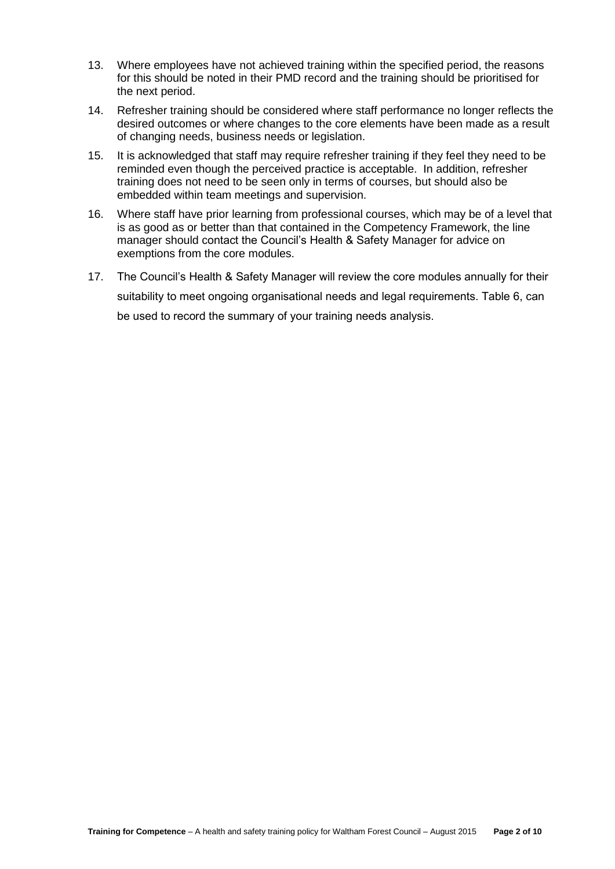- 13. Where employees have not achieved training within the specified period, the reasons for this should be noted in their PMD record and the training should be prioritised for the next period.
- 14. Refresher training should be considered where staff performance no longer reflects the desired outcomes or where changes to the core elements have been made as a result of changing needs, business needs or legislation.
- 15. It is acknowledged that staff may require refresher training if they feel they need to be reminded even though the perceived practice is acceptable. In addition, refresher training does not need to be seen only in terms of courses, but should also be embedded within team meetings and supervision.
- 16. Where staff have prior learning from professional courses, which may be of a level that is as good as or better than that contained in the Competency Framework, the line manager should contact the Council's Health & Safety Manager for advice on exemptions from the core modules.
- 17. The Council's Health & Safety Manager will review the core modules annually for their suitability to meet ongoing organisational needs and legal requirements. Table 6, can be used to record the summary of your training needs analysis.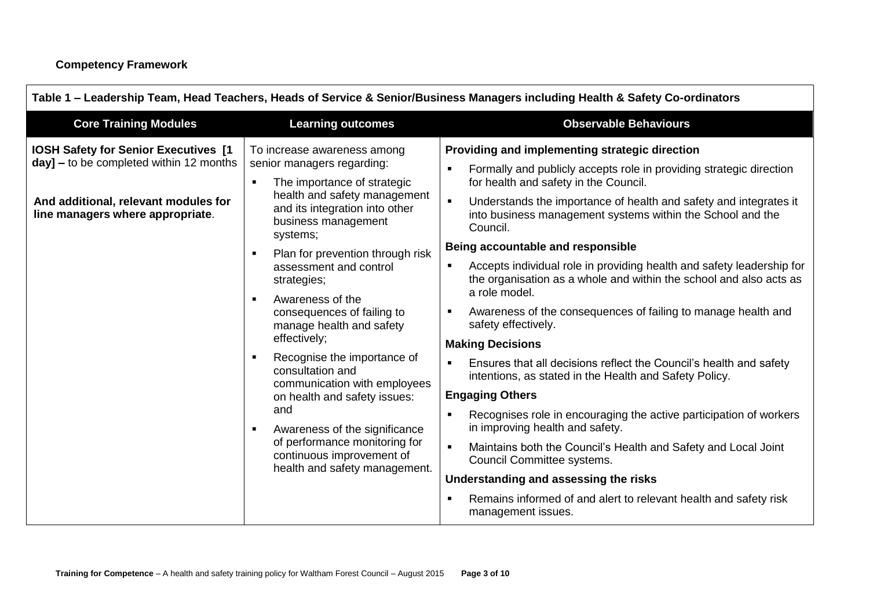| <b>Core Training Modules</b>                                                                                                                                          | <b>Learning outcomes</b>                                                                                                                                                                                                                                                                                                                                                                                                                                                                                                                                                                                                                                                    | <b>Observable Behaviours</b>                                                                                                                                                                                                                                                                                                                                                                                                                                                                                                                                                                                                                                                                                                                                                                                                                                                                                                                                                                                                                                                                                                                                                                                                                             |
|-----------------------------------------------------------------------------------------------------------------------------------------------------------------------|-----------------------------------------------------------------------------------------------------------------------------------------------------------------------------------------------------------------------------------------------------------------------------------------------------------------------------------------------------------------------------------------------------------------------------------------------------------------------------------------------------------------------------------------------------------------------------------------------------------------------------------------------------------------------------|----------------------------------------------------------------------------------------------------------------------------------------------------------------------------------------------------------------------------------------------------------------------------------------------------------------------------------------------------------------------------------------------------------------------------------------------------------------------------------------------------------------------------------------------------------------------------------------------------------------------------------------------------------------------------------------------------------------------------------------------------------------------------------------------------------------------------------------------------------------------------------------------------------------------------------------------------------------------------------------------------------------------------------------------------------------------------------------------------------------------------------------------------------------------------------------------------------------------------------------------------------|
| <b>IOSH Safety for Senior Executives [1</b><br>$day$ ] – to be completed within 12 months<br>And additional, relevant modules for<br>line managers where appropriate. | To increase awareness among<br>senior managers regarding:<br>The importance of strategic<br>$\blacksquare$<br>health and safety management<br>and its integration into other<br>business management<br>systems;<br>Plan for prevention through risk<br>assessment and control<br>strategies;<br>Awareness of the<br>$\blacksquare$<br>consequences of failing to<br>manage health and safety<br>effectively;<br>Recognise the importance of<br>consultation and<br>communication with employees<br>on health and safety issues:<br>and<br>Awareness of the significance<br>٠<br>of performance monitoring for<br>continuous improvement of<br>health and safety management. | Providing and implementing strategic direction<br>Formally and publicly accepts role in providing strategic direction<br>$\blacksquare$<br>for health and safety in the Council.<br>Understands the importance of health and safety and integrates it<br>$\blacksquare$<br>into business management systems within the School and the<br>Council.<br>Being accountable and responsible<br>Accepts individual role in providing health and safety leadership for<br>$\blacksquare$<br>the organisation as a whole and within the school and also acts as<br>a role model.<br>Awareness of the consequences of failing to manage health and<br>٠<br>safety effectively.<br><b>Making Decisions</b><br>Ensures that all decisions reflect the Council's health and safety<br>$\blacksquare$<br>intentions, as stated in the Health and Safety Policy.<br><b>Engaging Others</b><br>Recognises role in encouraging the active participation of workers<br>$\blacksquare$<br>in improving health and safety.<br>Maintains both the Council's Health and Safety and Local Joint<br>$\blacksquare$<br>Council Committee systems.<br>Understanding and assessing the risks<br>Remains informed of and alert to relevant health and safety risk<br>$\blacksquare$ |
|                                                                                                                                                                       |                                                                                                                                                                                                                                                                                                                                                                                                                                                                                                                                                                                                                                                                             | management issues.                                                                                                                                                                                                                                                                                                                                                                                                                                                                                                                                                                                                                                                                                                                                                                                                                                                                                                                                                                                                                                                                                                                                                                                                                                       |

## **Table 1 – Leadership Team, Head Teachers, Heads of Service & Senior/Business Managers including Health & Safety Co-ordinators**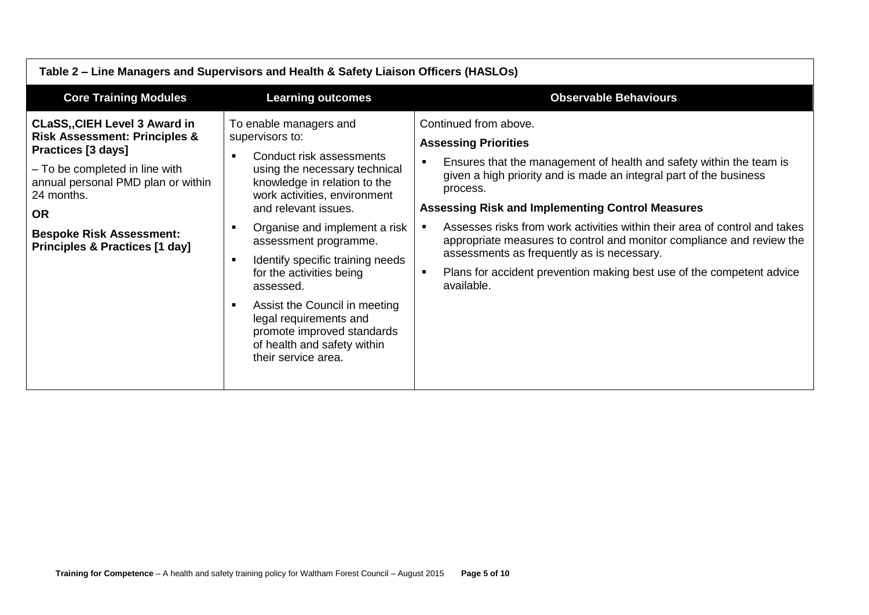| Table 2 – Line Managers and Supervisors and Health & Safety Liaison Officers (HASLOs)                                                                                                                                                                                          |                                                                                                                                                                                                                                                                                                                                                                                                                                                                                                             |                                                                                                                                                                                                                                                                                                                                                                                                                                                                                                                                                                      |  |
|--------------------------------------------------------------------------------------------------------------------------------------------------------------------------------------------------------------------------------------------------------------------------------|-------------------------------------------------------------------------------------------------------------------------------------------------------------------------------------------------------------------------------------------------------------------------------------------------------------------------------------------------------------------------------------------------------------------------------------------------------------------------------------------------------------|----------------------------------------------------------------------------------------------------------------------------------------------------------------------------------------------------------------------------------------------------------------------------------------------------------------------------------------------------------------------------------------------------------------------------------------------------------------------------------------------------------------------------------------------------------------------|--|
| <b>Core Training Modules</b>                                                                                                                                                                                                                                                   | <b>Learning outcomes</b>                                                                                                                                                                                                                                                                                                                                                                                                                                                                                    | <b>Observable Behaviours</b>                                                                                                                                                                                                                                                                                                                                                                                                                                                                                                                                         |  |
| <b>CLaSS,, CIEH Level 3 Award in</b><br><b>Risk Assessment: Principles &amp;</b><br>Practices [3 days]<br>- To be completed in line with<br>annual personal PMD plan or within<br>24 months.<br><b>OR</b><br><b>Bespoke Risk Assessment:</b><br>Principles & Practices [1 day] | To enable managers and<br>supervisors to:<br>Conduct risk assessments<br>using the necessary technical<br>knowledge in relation to the<br>work activities, environment<br>and relevant issues.<br>Organise and implement a risk<br>assessment programme.<br>Identify specific training needs<br>п<br>for the activities being<br>assessed.<br>Assist the Council in meeting<br>$\blacksquare$<br>legal requirements and<br>promote improved standards<br>of health and safety within<br>their service area. | Continued from above.<br><b>Assessing Priorities</b><br>Ensures that the management of health and safety within the team is<br>given a high priority and is made an integral part of the business<br>process.<br><b>Assessing Risk and Implementing Control Measures</b><br>Assesses risks from work activities within their area of control and takes<br>appropriate measures to control and monitor compliance and review the<br>assessments as frequently as is necessary.<br>Plans for accident prevention making best use of the competent advice<br>available. |  |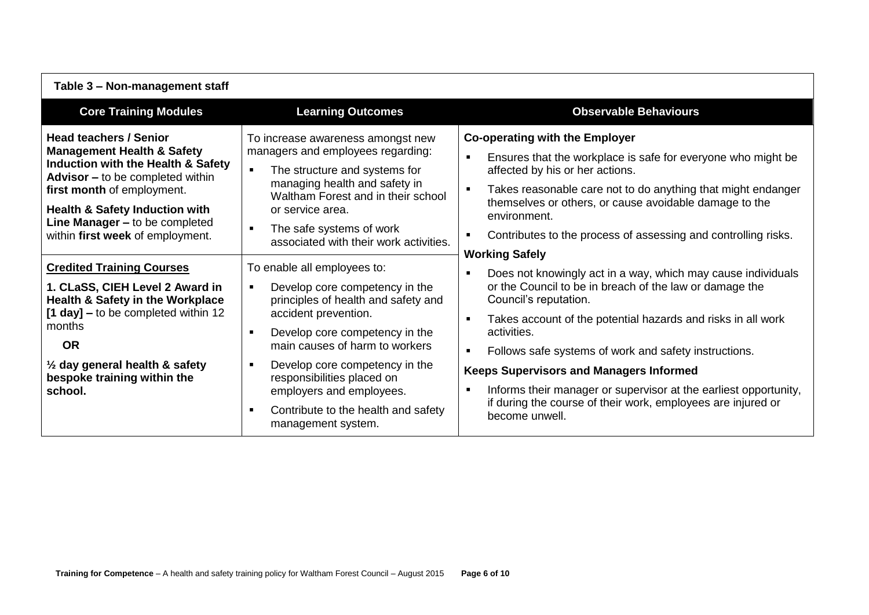| Table 3 - Non-management staff                                                                                                                                                                                                                                                                           |                                                                                                                                                                                                                                                                                                                                                                                                                                   |                                                                                                                                                                                                                                                                                                                                                                                                                                                                                                                                                                                                   |
|----------------------------------------------------------------------------------------------------------------------------------------------------------------------------------------------------------------------------------------------------------------------------------------------------------|-----------------------------------------------------------------------------------------------------------------------------------------------------------------------------------------------------------------------------------------------------------------------------------------------------------------------------------------------------------------------------------------------------------------------------------|---------------------------------------------------------------------------------------------------------------------------------------------------------------------------------------------------------------------------------------------------------------------------------------------------------------------------------------------------------------------------------------------------------------------------------------------------------------------------------------------------------------------------------------------------------------------------------------------------|
| <b>Core Training Modules</b>                                                                                                                                                                                                                                                                             | <b>Learning Outcomes</b>                                                                                                                                                                                                                                                                                                                                                                                                          | <b>Observable Behaviours</b>                                                                                                                                                                                                                                                                                                                                                                                                                                                                                                                                                                      |
| <b>Head teachers / Senior</b><br><b>Management Health &amp; Safety</b><br>Induction with the Health & Safety<br><b>Advisor</b> – to be completed within<br>first month of employment.<br><b>Health &amp; Safety Induction with</b><br>Line Manager - to be completed<br>within first week of employment. | To increase awareness amongst new<br>managers and employees regarding:<br>The structure and systems for<br>$\blacksquare$<br>managing health and safety in<br>Waltham Forest and in their school<br>or service area.<br>The safe systems of work<br>$\blacksquare$<br>associated with their work activities.                                                                                                                      | <b>Co-operating with the Employer</b><br>Ensures that the workplace is safe for everyone who might be<br>$\blacksquare$<br>affected by his or her actions.<br>$\blacksquare$<br>Takes reasonable care not to do anything that might endanger<br>themselves or others, or cause avoidable damage to the<br>environment.<br>Contributes to the process of assessing and controlling risks.<br>$\blacksquare$                                                                                                                                                                                        |
| <b>Credited Training Courses</b><br>1. CLaSS, CIEH Level 2 Award in<br><b>Health &amp; Safety in the Workplace</b><br>$[1 day] -$ to be completed within 12<br>months<br><b>OR</b><br>$\frac{1}{2}$ day general health & safety<br>bespoke training within the<br>school.                                | To enable all employees to:<br>Develop core competency in the<br>$\blacksquare$<br>principles of health and safety and<br>accident prevention.<br>Develop core competency in the<br>$\blacksquare$<br>main causes of harm to workers<br>Develop core competency in the<br>$\blacksquare$<br>responsibilities placed on<br>employers and employees.<br>Contribute to the health and safety<br>$\blacksquare$<br>management system. | <b>Working Safely</b><br>Does not knowingly act in a way, which may cause individuals<br>$\blacksquare$<br>or the Council to be in breach of the law or damage the<br>Council's reputation.<br>Takes account of the potential hazards and risks in all work<br>$\blacksquare$<br>activities.<br>Follows safe systems of work and safety instructions.<br>$\blacksquare$<br><b>Keeps Supervisors and Managers Informed</b><br>Informs their manager or supervisor at the earliest opportunity,<br>$\blacksquare$<br>if during the course of their work, employees are injured or<br>become unwell. |

 $\Gamma$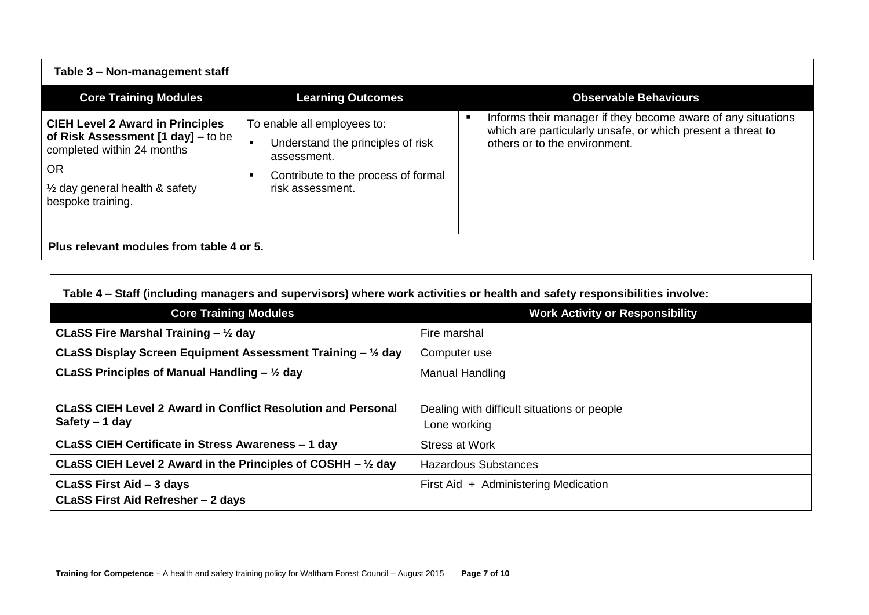| Table 3 - Non-management staff                                                                                                                                                             |                                                                                                                                                              |                                                                                                                                                              |
|--------------------------------------------------------------------------------------------------------------------------------------------------------------------------------------------|--------------------------------------------------------------------------------------------------------------------------------------------------------------|--------------------------------------------------------------------------------------------------------------------------------------------------------------|
| <b>Core Training Modules</b>                                                                                                                                                               | <b>Learning Outcomes</b>                                                                                                                                     | <b>Observable Behaviours</b>                                                                                                                                 |
| <b>CIEH Level 2 Award in Principles</b><br>of Risk Assessment [1 day] – to be<br>completed within 24 months<br><b>OR</b><br>$\frac{1}{2}$ day general health & safety<br>bespoke training. | To enable all employees to:<br>Understand the principles of risk<br>$\blacksquare$<br>assessment.<br>Contribute to the process of formal<br>risk assessment. | Informs their manager if they become aware of any situations<br>which are particularly unsafe, or which present a threat to<br>others or to the environment. |
| Plus relevant modules from table 4 or 5.                                                                                                                                                   |                                                                                                                                                              |                                                                                                                                                              |

| Table 4 – Staff (including managers and supervisors) where work activities or health and safety responsibilities involve: |  |  |  |  |  |
|---------------------------------------------------------------------------------------------------------------------------|--|--|--|--|--|
|---------------------------------------------------------------------------------------------------------------------------|--|--|--|--|--|

| <b>Core Training Modules</b>                                           | <b>Work Activity or Responsibility</b>      |
|------------------------------------------------------------------------|---------------------------------------------|
| CLaSS Fire Marshal Training $-$ 1/2 day                                | Fire marshal                                |
| CLaSS Display Screen Equipment Assessment Training - 1/2 day           | Computer use                                |
| CLaSS Principles of Manual Handling $-$ 1/2 day                        | Manual Handling                             |
|                                                                        |                                             |
| <b>CLaSS CIEH Level 2 Award in Conflict Resolution and Personal</b>    | Dealing with difficult situations or people |
| Safety $-1$ day                                                        | Lone working                                |
| CLaSS CIEH Certificate in Stress Awareness - 1 day                     | Stress at Work                              |
| CLaSS CIEH Level 2 Award in the Principles of COSHH $ \frac{1}{2}$ day | <b>Hazardous Substances</b>                 |
| CLaSS First Aid - 3 days                                               | First Aid + Administering Medication        |
| CLaSS First Aid Refresher - 2 days                                     |                                             |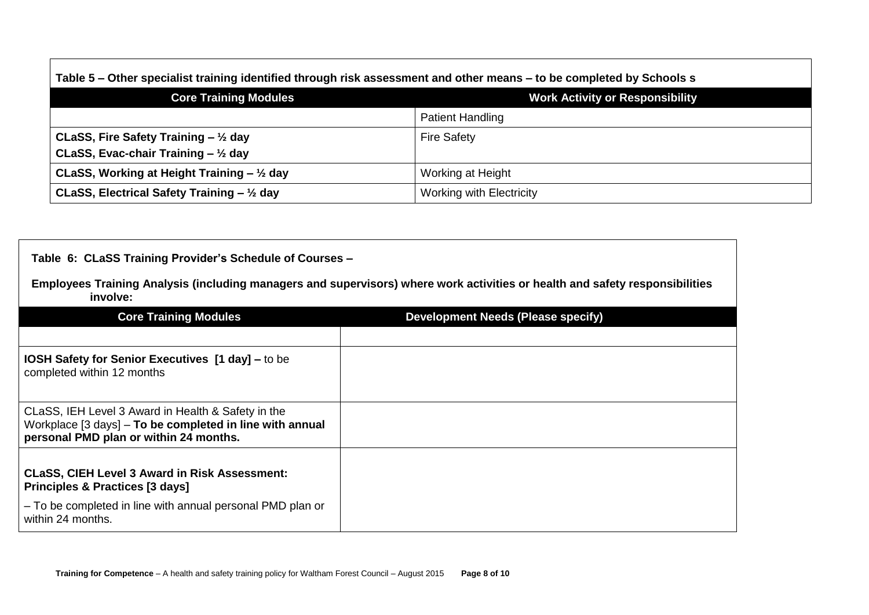| Table 5 – Other specialist training identified through risk assessment and other means – to be completed by Schools s |                                        |  |
|-----------------------------------------------------------------------------------------------------------------------|----------------------------------------|--|
| <b>Core Training Modules</b>                                                                                          | <b>Work Activity or Responsibility</b> |  |
|                                                                                                                       | <b>Patient Handling</b>                |  |
| CLaSS, Fire Safety Training $ \frac{1}{2}$ day                                                                        | <b>Fire Safety</b>                     |  |
| CLaSS, Evac-chair Training $ \frac{1}{2}$ day                                                                         |                                        |  |
| CLaSS, Working at Height Training $-$ 1/2 day                                                                         | Working at Height                      |  |
| CLaSS, Electrical Safety Training $-$ 1/2 day                                                                         | <b>Working with Electricity</b>        |  |

## **Table 6: CLaSS Training Provider's Schedule of Courses –**

Г

**Employees Training Analysis (including managers and supervisors) where work activities or health and safety responsibilities involve:**

| <b>Core Training Modules</b>                                                                                                                             | <b>Development Needs (Please specify)</b> |
|----------------------------------------------------------------------------------------------------------------------------------------------------------|-------------------------------------------|
|                                                                                                                                                          |                                           |
| <b>IOSH Safety for Senior Executives [1 day] – to be</b><br>completed within 12 months                                                                   |                                           |
| CLaSS, IEH Level 3 Award in Health & Safety in the<br>Workplace [3 days] - To be completed in line with annual<br>personal PMD plan or within 24 months. |                                           |
|                                                                                                                                                          |                                           |
| <b>CLaSS, CIEH Level 3 Award in Risk Assessment:</b><br><b>Principles &amp; Practices [3 days]</b>                                                       |                                           |
| - To be completed in line with annual personal PMD plan or<br>within 24 months.                                                                          |                                           |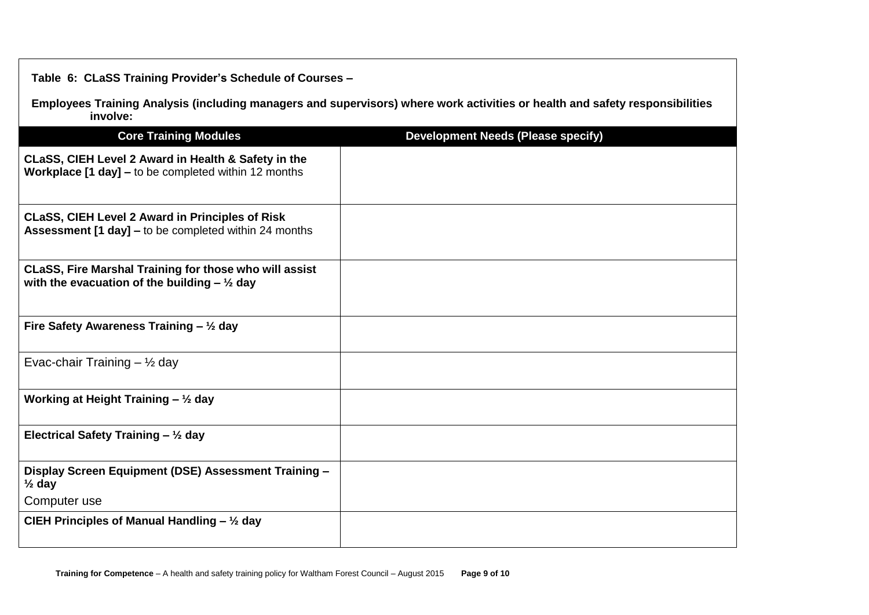**Table 6: CLaSS Training Provider's Schedule of Courses –**

**Employees Training Analysis (including managers and supervisors) where work activities or health and safety responsibilities involve:**

| <b>Core Training Modules</b>                                                                                           | <b>Development Needs (Please specify)</b> |
|------------------------------------------------------------------------------------------------------------------------|-------------------------------------------|
| CLaSS, CIEH Level 2 Award in Health & Safety in the<br>Workplace [1 day] - to be completed within 12 months            |                                           |
| <b>CLaSS, CIEH Level 2 Award in Principles of Risk</b><br><b>Assessment [1 day] – to be completed within 24 months</b> |                                           |
| CLaSS, Fire Marshal Training for those who will assist<br>with the evacuation of the building $-$ 1/2 day              |                                           |
| Fire Safety Awareness Training $-$ 1/2 day                                                                             |                                           |
| Evac-chair Training $-$ 1/2 day                                                                                        |                                           |
| Working at Height Training $-$ 1/2 day                                                                                 |                                           |
| Electrical Safety Training $-$ 1/2 day                                                                                 |                                           |
| Display Screen Equipment (DSE) Assessment Training -<br>$\frac{1}{2}$ day                                              |                                           |
| Computer use                                                                                                           |                                           |
| CIEH Principles of Manual Handling $-$ 1/2 day                                                                         |                                           |